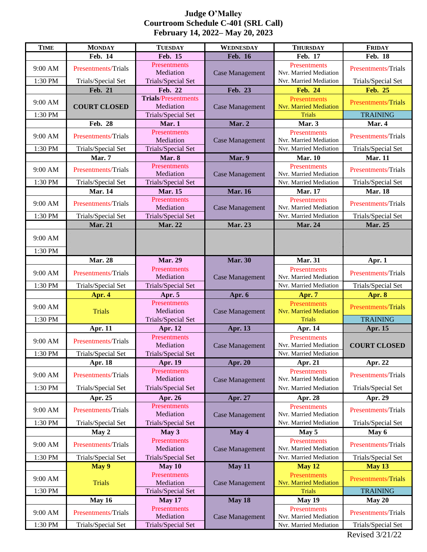## **Judge O'Malley Courtroom Schedule C-401 (SRL Call) February 14, 2022– May 20, 2023**

| <b>TIME</b>        | <b>MONDAY</b>                                    | <b>TUESDAY</b>                                  | <b>WEDNESDAY</b>       | <b>THURSDAY</b>                                                  | <b>FRIDAY</b>                             |
|--------------------|--------------------------------------------------|-------------------------------------------------|------------------------|------------------------------------------------------------------|-------------------------------------------|
|                    | Feb. 14                                          | Feb. 15                                         | <b>Feb. 16</b>         | Feb. 17                                                          | <b>Feb. 18</b>                            |
| 9:00 AM            | Presentments/Trials                              | Presentments<br>Mediation                       | <b>Case Management</b> | Presentments<br>Nvr. Married Mediation                           | <b>Presentments/Trials</b>                |
| 1:30 PM            | Trials/Special Set                               | Trials/Special Set                              |                        | Nvr. Married Mediation                                           | Trials/Special Set                        |
|                    | <b>Feb. 21</b>                                   | Feb. 22                                         | Feb. 23                | <b>Feb. 24</b>                                                   | <b>Feb. 25</b>                            |
| 9:00 AM            | <b>COURT CLOSED</b>                              | <b>Trials/Presentments</b><br>Mediation         | <b>Case Management</b> | Presentments<br><b>Nvr. Married Mediation</b>                    | <b>Presentments/Trials</b>                |
| 1:30 PM            |                                                  | Trials/Special Set                              |                        | <b>Trials</b>                                                    | <b>TRAINING</b>                           |
|                    | Feb. 28                                          | Mar. 1                                          | Mar. 2                 | Mar. 3                                                           | Mar. 4                                    |
| 9:00 AM            | Presentments/Trials                              | <b>Presentments</b><br>Mediation                | <b>Case Management</b> | Presentments<br>Nvr. Married Mediation                           | <b>Presentments/Trials</b>                |
| 1:30 PM            | Trials/Special Set                               | Trials/Special Set                              |                        | Nvr. Married Mediation                                           | Trials/Special Set                        |
|                    | Mar. 7                                           | Mar. 8                                          | Mar. 9                 | <b>Mar. 10</b>                                                   | <b>Mar. 11</b>                            |
| 9:00 AM            | <b>Presentments/Trials</b>                       | Presentments<br>Mediation                       | <b>Case Management</b> | Presentments<br>Nvr. Married Mediation                           | <b>Presentments/Trials</b>                |
| 1:30 PM            | Trials/Special Set                               | Trials/Special Set                              |                        | Nvr. Married Mediation                                           | Trials/Special Set                        |
|                    | <b>Mar. 14</b>                                   | <b>Mar. 15</b>                                  | <b>Mar. 16</b>         | <b>Mar. 17</b>                                                   | <b>Mar. 18</b>                            |
| 9:00 AM            | Presentments/Trials                              | <b>Presentments</b><br>Mediation                | <b>Case Management</b> | Presentments<br>Nvr. Married Mediation                           | <b>Presentments/Trials</b>                |
| 1:30 PM            | Trials/Special Set                               | Trials/Special Set                              |                        | Nvr. Married Mediation                                           | Trials/Special Set                        |
|                    | Mar. 21                                          | Mar. 22                                         | Mar. 23                | Mar. 24                                                          | Mar. 25                                   |
| 9:00 AM            |                                                  |                                                 |                        |                                                                  |                                           |
| 1:30 PM            |                                                  |                                                 |                        |                                                                  |                                           |
|                    | <b>Mar. 28</b>                                   | <b>Mar. 29</b>                                  | <b>Mar. 30</b>         | <b>Mar. 31</b>                                                   | Apr. 1                                    |
| 9:00 AM            | Presentments/Trials                              | Presentments<br>Mediation                       | <b>Case Management</b> | Presentments<br>Nvr. Married Mediation                           | Presentments/Trials                       |
| 1:30 PM            | Trials/Special Set                               | Trials/Special Set                              |                        | Nvr. Married Mediation                                           | Trials/Special Set                        |
|                    | Apr. 4                                           | Apr. 5                                          | Apr. 6                 | Apr. 7                                                           | Apr. 8                                    |
| 9:00 AM            | <b>Trials</b>                                    | Presentments<br>Mediation                       | <b>Case Management</b> | Presentments<br><b>Nvr. Married Mediation</b>                    | <b>Presentments/Trials</b>                |
| 1:30 PM            |                                                  | Trials/Special Set                              |                        | <b>Trials</b>                                                    | <b>TRAINING</b>                           |
|                    | Apr. 11                                          | Apr. 12                                         | Apr. 13                | Apr. 14                                                          | Apr. 15                                   |
| 9:00 AM            | Presentments/Trials                              | Presentments<br>Mediation                       | <b>Case Management</b> | <b>Presentments</b><br>Nvr. Married Mediation                    | <b>COURT CLOSED</b>                       |
| 1:30 PM            | Trials/Special Set                               | <b>Trials/Special Set</b>                       |                        | Nvr. Married Mediation                                           |                                           |
|                    | <b>Apr. 18</b>                                   | Apr. 19                                         | Apr. 20                | Apr. 21                                                          | Apr. 22                                   |
| 9:00 AM            | <b>Presentments/Trials</b>                       | Presentments<br>Mediation                       | <b>Case Management</b> | Presentments<br>Nvr. Married Mediation                           | <b>Presentments/Trials</b>                |
| 1:30 PM            | Trials/Special Set                               | Trials/Special Set                              |                        | Nvr. Married Mediation                                           | Trials/Special Set                        |
|                    | Apr. 25                                          | Apr. 26                                         | Apr. 27                | Apr. 28                                                          | Apr. 29                                   |
| 9:00 AM            |                                                  |                                                 |                        |                                                                  |                                           |
|                    | <b>Presentments/Trials</b>                       | Presentments<br>Mediation                       | <b>Case Management</b> | Presentments<br>Nvr. Married Mediation                           | Presentments/Trials                       |
| 1:30 PM            | Trials/Special Set                               | Trials/Special Set                              |                        | Nvr. Married Mediation                                           | Trials/Special Set                        |
|                    | May 2                                            | May 3                                           | May 4                  | May 5                                                            | May 6                                     |
| 9:00 AM            | <b>Presentments/Trials</b>                       | Presentments<br>Mediation                       | <b>Case Management</b> | Presentments<br>Nvr. Married Mediation                           | Presentments/Trials                       |
| 1:30 PM            | Trials/Special Set                               | Trials/Special Set                              |                        | Nvr. Married Mediation                                           | Trials/Special Set                        |
|                    | May 9                                            | May 10                                          | May 11                 | <b>May 12</b>                                                    | <b>May 13</b>                             |
| 9:00 AM            | <b>Trials</b>                                    | Presentments<br>Mediation                       | <b>Case Management</b> | Presentments<br><b>Nvr. Married Mediation</b>                    | Presentments/Trials                       |
| 1:30 PM            |                                                  | Trials/Special Set                              |                        | <b>Trials</b>                                                    | <b>TRAINING</b>                           |
|                    | May 16                                           | May 17                                          | May 18                 | <b>May 19</b>                                                    | May 20                                    |
| 9:00 AM<br>1:30 PM | <b>Presentments/Trials</b><br>Trials/Special Set | Presentments<br>Mediation<br>Trials/Special Set | <b>Case Management</b> | Presentments<br>Nvr. Married Mediation<br>Nvr. Married Mediation | Presentments/Trials<br>Trials/Special Set |

Revised 3/21/22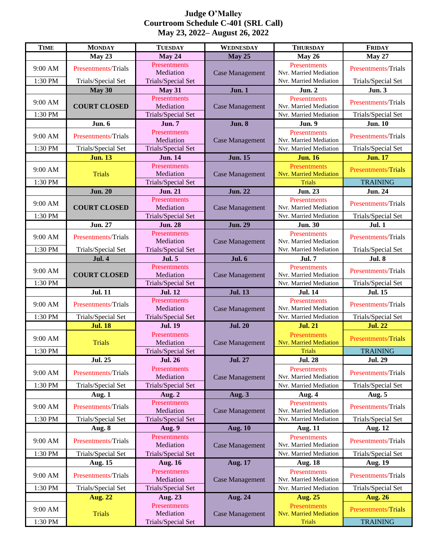## **Judge O'Malley Courtroom Schedule C-401 (SRL Call) May 23, 2022– August 26, 2022**

| <b>TIME</b>        | <b>MONDAY</b>              | <b>TUESDAY</b>                                  | WEDNESDAY              | <b>THURSDAY</b>                                                | <b>FRIDAY</b>                          |
|--------------------|----------------------------|-------------------------------------------------|------------------------|----------------------------------------------------------------|----------------------------------------|
|                    | May 23                     | May 24                                          | <b>May 25</b>          | May 26                                                         | <b>May 27</b>                          |
| 9:00 AM            | <b>Presentments/Trials</b> | Presentments<br>Mediation                       | <b>Case Management</b> | Presentments<br>Nvr. Married Mediation                         | <b>Presentments/Trials</b>             |
| 1:30 PM            | Trials/Special Set         | Trials/Special Set                              |                        | Nvr. Married Mediation                                         | Trials/Special Set                     |
|                    | May 30                     | May 31                                          | Jun. 1                 | <b>Jun. 2</b>                                                  | <b>Jun. 3</b>                          |
| 9:00 AM            | <b>COURT CLOSED</b>        | Presentments<br>Mediation                       | <b>Case Management</b> | Presentments<br>Nvr. Married Mediation                         | <b>Presentments/Trials</b>             |
| 1:30 PM            |                            | Trials/Special Set                              |                        | Nvr. Married Mediation                                         | Trials/Special Set                     |
|                    | Jun. 6                     | <b>Jun. 7</b>                                   | <b>Jun. 8</b>          | <b>Jun. 9</b>                                                  | <b>Jun. 10</b>                         |
| 9:00 AM            | <b>Presentments/Trials</b> | Presentments<br>Mediation                       | <b>Case Management</b> | Presentments<br>Nvr. Married Mediation                         | <b>Presentments/Trials</b>             |
| 1:30 PM            | Trials/Special Set         | Trials/Special Set                              |                        | Nvr. Married Mediation                                         | Trials/Special Set                     |
|                    | <b>Jun. 13</b>             | <b>Jun. 14</b>                                  | <b>Jun. 15</b>         | <b>Jun. 16</b>                                                 | <b>Jun. 17</b>                         |
| 9:00 AM            | <b>Trials</b>              | Presentments<br>Mediation                       | <b>Case Management</b> | Presentments<br><b>Nvr. Married Mediation</b>                  | <b>Presentments/Trials</b>             |
| 1:30 PM            |                            | Trials/Special Set                              |                        | <b>Trials</b>                                                  | <b>TRAINING</b>                        |
|                    | <b>Jun. 20</b>             | <b>Jun. 21</b>                                  | <b>Jun. 22</b>         | <b>Jun. 23</b>                                                 | <b>Jun. 24</b>                         |
| 9:00 AM            | <b>COURT CLOSED</b>        | Presentments<br>Mediation                       | <b>Case Management</b> | Presentments<br>Nvr. Married Mediation                         | <b>Presentments/Trials</b>             |
| 1:30 PM            |                            | Trials/Special Set                              |                        | Nvr. Married Mediation                                         | Trials/Special Set                     |
|                    | <b>Jun. 27</b>             | <b>Jun. 28</b>                                  | <b>Jun. 29</b>         | <b>Jun. 30</b>                                                 | Jul. 1                                 |
| 9:00 AM            | <b>Presentments/Trials</b> | Presentments<br>Mediation                       | <b>Case Management</b> | Presentments<br>Nvr. Married Mediation                         | <b>Presentments/Trials</b>             |
| 1:30 PM            | Trials/Special Set         | Trials/Special Set                              |                        | Nvr. Married Mediation                                         | Trials/Special Set                     |
|                    | <b>Jul. 4</b>              | <b>Jul. 5</b>                                   | <b>Jul. 6</b>          | <b>Jul. 7</b>                                                  | <b>Jul. 8</b>                          |
| 9:00 AM            | <b>COURT CLOSED</b>        | Presentments<br>Mediation                       | <b>Case Management</b> | Presentments<br>Nvr. Married Mediation                         | Presentments/Trials                    |
| 1:30 PM            |                            | Trials/Special Set                              |                        | Nvr. Married Mediation                                         | Trials/Special Set                     |
|                    | <b>Jul. 11</b>             | <b>Jul. 12</b>                                  | <b>Jul. 13</b>         | <b>Jul. 14</b>                                                 | <b>Jul. 15</b>                         |
| 9:00 AM            | <b>Presentments/Trials</b> | Presentments<br>Mediation                       | <b>Case Management</b> | Presentments<br>Nvr. Married Mediation                         | Presentments/Trials                    |
| 1:30 PM            | Trials/Special Set         | Trials/Special Set                              |                        | Nvr. Married Mediation                                         | Trials/Special Set                     |
|                    | <b>Jul. 18</b>             | <b>Jul. 19</b>                                  | <b>Jul. 20</b>         | <b>Jul. 21</b>                                                 | <b>Jul. 22</b>                         |
|                    |                            |                                                 |                        |                                                                |                                        |
| 9:00 AM            | <b>Trials</b>              | Presentments<br>Mediation                       | <b>Case Management</b> | Presentments<br><b>Nvr. Married Mediation</b>                  | Presentments/Trials                    |
| 1:30 PM            |                            | Trials/Special Set                              |                        | Trials                                                         | <b>TRAINING</b>                        |
|                    | <b>Jul. 25</b>             | <b>Jul. 26</b>                                  | <b>Jul. 27</b>         | <b>Jul. 28</b>                                                 | <b>Jul. 29</b>                         |
| 9:00 AM            | Presentments/Trials        | Presentments<br>Mediation                       | <b>Case Management</b> | <b>Presentments</b><br>Nvr. Married Mediation                  | <b>Presentments/Trials</b>             |
| 1:30 PM            | Trials/Special Set         | <b>Trials/Special Set</b>                       |                        | Nvr. Married Mediation                                         | Trials/Special Set                     |
|                    | Aug. 1                     | Aug. 2                                          | Aug. 3                 | Aug. 4                                                         | Aug. 5                                 |
| 9:00 AM            | <b>Presentments/Trials</b> | Presentments<br>Mediation                       | <b>Case Management</b> | Presentments<br>Nvr. Married Mediation                         | <b>Presentments/Trials</b>             |
| 1:30 PM            | Trials/Special Set         | <b>Trials/Special Set</b>                       |                        | Nvr. Married Mediation                                         | Trials/Special Set                     |
|                    | Aug. 8                     | Aug. 9                                          | <b>Aug. 10</b>         | <b>Aug. 11</b>                                                 | <b>Aug. 12</b>                         |
| 9:00 AM            | <b>Presentments/Trials</b> | Presentments<br>Mediation                       | <b>Case Management</b> | Presentments<br>Nvr. Married Mediation                         | <b>Presentments/Trials</b>             |
| 1:30 PM            | Trials/Special Set         | Trials/Special Set                              |                        | Nvr. Married Mediation                                         | Trials/Special Set                     |
|                    | <b>Aug. 15</b>             | <b>Aug. 16</b>                                  | <b>Aug. 17</b>         | <b>Aug. 18</b>                                                 | <b>Aug. 19</b>                         |
| 9:00 AM            | <b>Presentments/Trials</b> | Presentments<br>Mediation                       | <b>Case Management</b> | Presentments<br>Nvr. Married Mediation                         | <b>Presentments/Trials</b>             |
| 1:30 PM            | Trials/Special Set         | Trials/Special Set                              |                        | Nvr. Married Mediation                                         | Trials/Special Set                     |
|                    | <b>Aug. 22</b>             | Aug. 23                                         | <b>Aug. 24</b>         | <b>Aug. 25</b>                                                 | <b>Aug. 26</b>                         |
| 9:00 AM<br>1:30 PM | <b>Trials</b>              | Presentments<br>Mediation<br>Trials/Special Set | <b>Case Management</b> | Presentments<br><b>Nvr. Married Mediation</b><br><b>Trials</b> | Presentments/Trials<br><b>TRAINING</b> |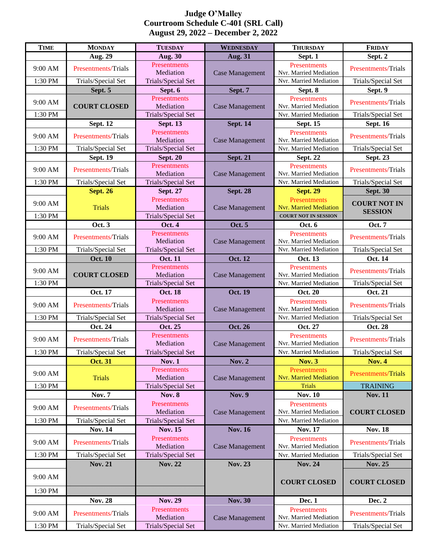## **Judge O'Malley Courtroom Schedule C-401 (SRL Call) August 29, 2022 – December 2, 2022**

| <b>TIME</b>        | <b>MONDAY</b>              | <b>TUESDAY</b>                                  | <b>WEDNESDAY</b>       | <b>THURSDAY</b>                                                              | <b>FRIDAY</b>                         |
|--------------------|----------------------------|-------------------------------------------------|------------------------|------------------------------------------------------------------------------|---------------------------------------|
|                    | <b>Aug. 29</b>             | <b>Aug. 30</b>                                  | <b>Aug. 31</b>         | Sept. 1                                                                      | Sept. 2                               |
| 9:00 AM            | <b>Presentments/Trials</b> | Presentments<br>Mediation                       | <b>Case Management</b> | Presentments<br>Nvr. Married Mediation                                       | <b>Presentments/Trials</b>            |
| 1:30 PM            | Trials/Special Set         | Trials/Special Set                              |                        | Nvr. Married Mediation                                                       | Trials/Special Set                    |
|                    | Sept. 5                    | Sept. 6                                         | Sept. 7                | Sept. 8                                                                      | Sept. 9                               |
| 9:00 AM            | <b>COURT CLOSED</b>        | Presentments<br>Mediation                       | <b>Case Management</b> | Presentments<br>Nvr. Married Mediation                                       | <b>Presentments/Trials</b>            |
| 1:30 PM            |                            | Trials/Special Set                              |                        | Nvr. Married Mediation                                                       | Trials/Special Set                    |
|                    | <b>Sept. 12</b>            | <b>Sept. 13</b>                                 | <b>Sept. 14</b>        | <b>Sept. 15</b>                                                              | <b>Sept. 16</b>                       |
| 9:00 AM            | Presentments/Trials        | <b>Presentments</b><br>Mediation                | <b>Case Management</b> | Presentments<br>Nvr. Married Mediation                                       | Presentments/Trials                   |
| 1:30 PM            | Trials/Special Set         | Trials/Special Set                              |                        | Nvr. Married Mediation                                                       | Trials/Special Set                    |
|                    | <b>Sept. 19</b>            | <b>Sept. 20</b>                                 | <b>Sept. 21</b>        | <b>Sept. 22</b>                                                              | <b>Sept. 23</b>                       |
| 9:00 AM            | <b>Presentments/Trials</b> | Presentments<br>Mediation                       | <b>Case Management</b> | Presentments<br>Nvr. Married Mediation                                       | <b>Presentments/Trials</b>            |
| 1:30 PM            | Trials/Special Set         | Trials/Special Set                              |                        | Nvr. Married Mediation                                                       | Trials/Special Set                    |
|                    | <b>Sept. 26</b>            | <b>Sept. 27</b>                                 | <b>Sept. 28</b>        | <b>Sept. 29</b>                                                              | <b>Sept. 30</b>                       |
| 9:00 AM<br>1:30 PM | <b>Trials</b>              | Presentments<br>Mediation<br>Trials/Special Set | <b>Case Management</b> | Presentments<br><b>Nvr. Married Mediation</b><br><b>COURT NOT IN SESSION</b> | <b>COURT NOT IN</b><br><b>SESSION</b> |
|                    | Oct. 3                     | <b>Oct. 4</b>                                   | <b>Oct. 5</b>          | Oct. 6                                                                       | Oct. 7                                |
| 9:00 AM            | Presentments/Trials        | Presentments<br>Mediation                       | <b>Case Management</b> | Presentments<br>Nvr. Married Mediation                                       | <b>Presentments/Trials</b>            |
| 1:30 PM            | Trials/Special Set         | Trials/Special Set                              |                        | Nvr. Married Mediation                                                       | Trials/Special Set                    |
|                    | <b>Oct. 10</b>             | <b>Oct. 11</b>                                  | <b>Oct. 12</b>         | Oct. 13                                                                      | Oct. 14                               |
| 9:00 AM            | <b>COURT CLOSED</b>        | Presentments<br>Mediation                       | <b>Case Management</b> | Presentments<br>Nvr. Married Mediation                                       | <b>Presentments/Trials</b>            |
| 1:30 PM            |                            | Trials/Special Set                              |                        | Nvr. Married Mediation                                                       | Trials/Special Set                    |
|                    | Oct. 17                    | <b>Oct. 18</b>                                  | <b>Oct. 19</b>         | <b>Oct. 20</b>                                                               | Oct. 21                               |
| 9:00 AM            | <b>Presentments/Trials</b> | Presentments<br>Mediation                       | <b>Case Management</b> | <b>Presentments</b><br>Nvr. Married Mediation                                | Presentments/Trials                   |
| 1:30 PM            | Trials/Special Set         | Trials/Special Set                              |                        | Nvr. Married Mediation                                                       | Trials/Special Set                    |
|                    | Oct. 24                    | Oct. 25                                         | <b>Oct. 26</b>         | <b>Oct. 27</b>                                                               | Oct. 28                               |
| 9:00 AM            | <b>Presentments/Trials</b> | <b>Presentments</b><br>Mediation                | <b>Case Management</b> | Presentments<br>Nvr. Married Mediation                                       | <b>Presentments/Trials</b>            |
| 1:30 PM            | Trials/Special Set         | Trials/Special Set                              |                        | Nvr. Married Mediation                                                       | Trials/Special Set                    |
|                    | <b>Oct. 31</b>             | Nov. $1$                                        | <b>Nov. 2</b>          | <b>Nov. 3</b>                                                                | <b>Nov. 4</b>                         |
| 9:00 AM            | <b>Trials</b>              | Presentments<br>Mediation                       | <b>Case Management</b> | <b>Presentments</b><br><b>Nvr. Married Mediation</b>                         | Presentments/Trials                   |
| 1:30 PM            |                            | Trials/Special Set                              |                        | <b>Trials</b>                                                                | <b>TRAINING</b>                       |
|                    | <b>Nov. 7</b>              | <b>Nov. 8</b>                                   | <b>Nov. 9</b>          | <b>Nov. 10</b>                                                               | <b>Nov. 11</b>                        |
| 9:00 AM            | Presentments/Trials        | Presentments<br>Mediation                       | <b>Case Management</b> | Presentments<br>Nvr. Married Mediation                                       | <b>COURT CLOSED</b>                   |
| 1:30 PM            | Trials/Special Set         | Trials/Special Set                              |                        | Nvr. Married Mediation                                                       |                                       |
|                    | <b>Nov. 14</b>             | <b>Nov. 15</b>                                  | <b>Nov. 16</b>         | <b>Nov. 17</b>                                                               | <b>Nov. 18</b>                        |
| 9:00 AM            | <b>Presentments/Trials</b> | Presentments<br>Mediation                       | <b>Case Management</b> | Presentments<br>Nvr. Married Mediation                                       | Presentments/Trials                   |
| 1:30 PM            | Trials/Special Set         | Trials/Special Set                              |                        | Nvr. Married Mediation                                                       | Trials/Special Set                    |
|                    | $\sqrt{21}$                | $\infty$ $\infty$                               | $\frac{1}{2}$          | <b>Nov. 24</b>                                                               | <b>Nov. 25</b>                        |
| 9:00 AM            |                            |                                                 |                        | <b>COURT CLOSED</b>                                                          | <b>COURT CLOSED</b>                   |
| 1:30 PM            |                            |                                                 |                        |                                                                              |                                       |
|                    | <b>Nov. 28</b>             | <b>Nov. 29</b>                                  | <b>Nov. 30</b>         | Dec. 1                                                                       | Dec. 2                                |
| 9:00 AM            | Presentments/Trials        | Presentments<br>Mediation                       | <b>Case Management</b> | Presentments<br>Nvr. Married Mediation                                       | Presentments/Trials                   |
| 1:30 PM            | Trials/Special Set         | Trials/Special Set                              |                        | Nvr. Married Mediation                                                       | Trials/Special Set                    |